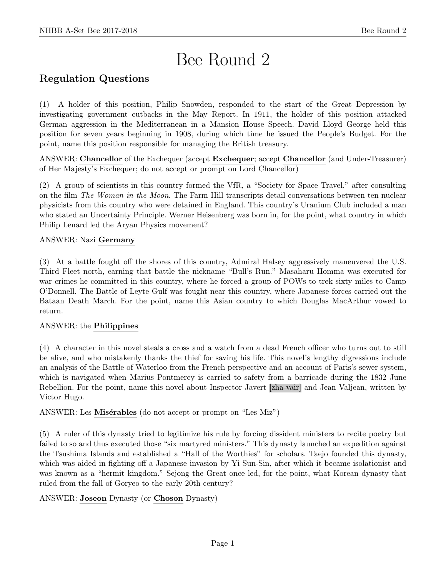# Bee Round 2

# Regulation Questions

(1) A holder of this position, Philip Snowden, responded to the start of the Great Depression by investigating government cutbacks in the May Report. In 1911, the holder of this position attacked German aggression in the Mediterranean in a Mansion House Speech. David Lloyd George held this position for seven years beginning in 1908, during which time he issued the People's Budget. For the point, name this position responsible for managing the British treasury.

ANSWER: Chancellor of the Exchequer (accept Exchequer; accept Chancellor (and Under-Treasurer) of Her Majesty's Exchequer; do not accept or prompt on Lord Chancellor)

(2) A group of scientists in this country formed the VfR, a "Society for Space Travel," after consulting on the film The Woman in the Moon. The Farm Hill transcripts detail conversations between ten nuclear physicists from this country who were detained in England. This country's Uranium Club included a man who stated an Uncertainty Principle. Werner Heisenberg was born in, for the point, what country in which Philip Lenard led the Aryan Physics movement?

# ANSWER: Nazi Germany

(3) At a battle fought off the shores of this country, Admiral Halsey aggressively maneuvered the U.S. Third Fleet north, earning that battle the nickname "Bull's Run." Masaharu Homma was executed for war crimes he committed in this country, where he forced a group of POWs to trek sixty miles to Camp O'Donnell. The Battle of Leyte Gulf was fought near this country, where Japanese forces carried out the Bataan Death March. For the point, name this Asian country to which Douglas MacArthur vowed to return.

# ANSWER: the Philippines

(4) A character in this novel steals a cross and a watch from a dead French officer who turns out to still be alive, and who mistakenly thanks the thief for saving his life. This novel's lengthy digressions include an analysis of the Battle of Waterloo from the French perspective and an account of Paris's sewer system, which is navigated when Marius Pontmercy is carried to safety from a barricade during the 1832 June Rebellion. For the point, name this novel about Inspector Javert [zha-vair] and Jean Valjean, written by Victor Hugo.

ANSWER: Les Misérables (do not accept or prompt on "Les Miz")

(5) A ruler of this dynasty tried to legitimize his rule by forcing dissident ministers to recite poetry but failed to so and thus executed those "six martyred ministers." This dynasty launched an expedition against the Tsushima Islands and established a "Hall of the Worthies" for scholars. Taejo founded this dynasty, which was aided in fighting off a Japanese invasion by Yi Sun-Sin, after which it became isolationist and was known as a "hermit kingdom." Sejong the Great once led, for the point, what Korean dynasty that ruled from the fall of Goryeo to the early 20th century?

ANSWER: Joseon Dynasty (or Choson Dynasty)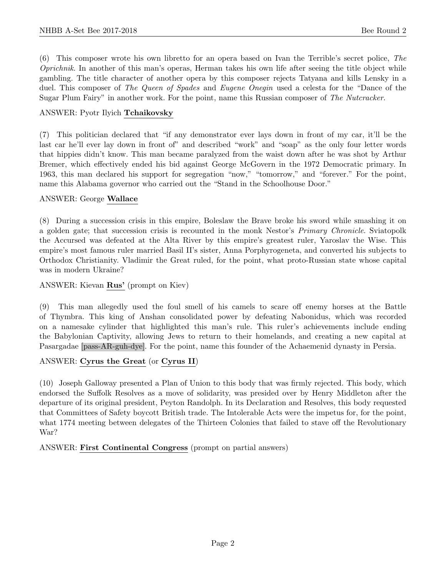(6) This composer wrote his own libretto for an opera based on Ivan the Terrible's secret police, The Oprichnik. In another of this man's operas, Herman takes his own life after seeing the title object while gambling. The title character of another opera by this composer rejects Tatyana and kills Lensky in a duel. This composer of *The Queen of Spades* and *Eugene Onegin* used a celesta for the "Dance of the Sugar Plum Fairy" in another work. For the point, name this Russian composer of The Nutcracker.

#### ANSWER: Pyotr Ilyich Tchaikovsky

(7) This politician declared that "if any demonstrator ever lays down in front of my car, it'll be the last car he'll ever lay down in front of" and described "work" and "soap" as the only four letter words that hippies didn't know. This man became paralyzed from the waist down after he was shot by Arthur Bremer, which effectively ended his bid against George McGovern in the 1972 Democratic primary. In 1963, this man declared his support for segregation "now," "tomorrow," and "forever." For the point, name this Alabama governor who carried out the "Stand in the Schoolhouse Door."

#### ANSWER: George Wallace

(8) During a succession crisis in this empire, Boleslaw the Brave broke his sword while smashing it on a golden gate; that succession crisis is recounted in the monk Nestor's Primary Chronicle. Sviatopolk the Accursed was defeated at the Alta River by this empire's greatest ruler, Yaroslav the Wise. This empire's most famous ruler married Basil II's sister, Anna Porphyrogeneta, and converted his subjects to Orthodox Christianity. Vladimir the Great ruled, for the point, what proto-Russian state whose capital was in modern Ukraine?

#### ANSWER: Kievan Rus' (prompt on Kiev)

(9) This man allegedly used the foul smell of his camels to scare off enemy horses at the Battle of Thymbra. This king of Anshan consolidated power by defeating Nabonidus, which was recorded on a namesake cylinder that highlighted this man's rule. This ruler's achievements include ending the Babylonian Captivity, allowing Jews to return to their homelands, and creating a new capital at Pasargadae [pass-AR-guh-dye]. For the point, name this founder of the Achaemenid dynasty in Persia.

# ANSWER: Cyrus the Great (or Cyrus II)

(10) Joseph Galloway presented a Plan of Union to this body that was firmly rejected. This body, which endorsed the Suffolk Resolves as a move of solidarity, was presided over by Henry Middleton after the departure of its original president, Peyton Randolph. In its Declaration and Resolves, this body requested that Committees of Safety boycott British trade. The Intolerable Acts were the impetus for, for the point, what 1774 meeting between delegates of the Thirteen Colonies that failed to stave off the Revolutionary War?

ANSWER: First Continental Congress (prompt on partial answers)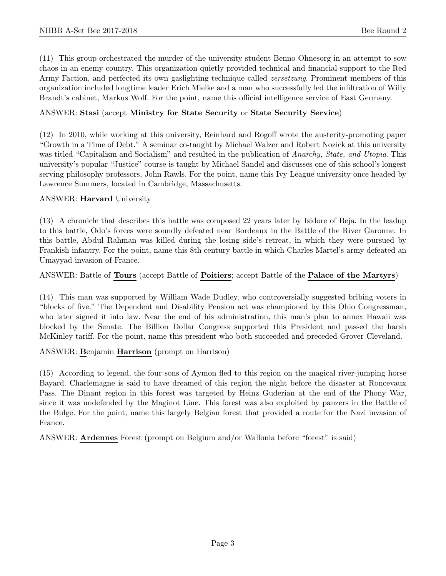(11) This group orchestrated the murder of the university student Benno Ohnesorg in an attempt to sow chaos in an enemy country. This organization quietly provided technical and financial support to the Red Army Faction, and perfected its own gaslighting technique called zersetzung. Prominent members of this organization included longtime leader Erich Mielke and a man who successfully led the infiltration of Willy Brandt's cabinet, Markus Wolf. For the point, name this official intelligence service of East Germany.

#### ANSWER: Stasi (accept Ministry for State Security or State Security Service)

(12) In 2010, while working at this university, Reinhard and Rogoff wrote the austerity-promoting paper "Growth in a Time of Debt." A seminar co-taught by Michael Walzer and Robert Nozick at this university was titled "Capitalism and Socialism" and resulted in the publication of Anarchy, State, and Utopia. This university's popular "Justice" course is taught by Michael Sandel and discusses one of this school's longest serving philosophy professors, John Rawls. For the point, name this Ivy League university once headed by Lawrence Summers, located in Cambridge, Massachusetts.

#### ANSWER: Harvard University

(13) A chronicle that describes this battle was composed 22 years later by Isidore of Beja. In the leadup to this battle, Odo's forces were soundly defeated near Bordeaux in the Battle of the River Garonne. In this battle, Abdul Rahman was killed during the losing side's retreat, in which they were pursued by Frankish infantry. For the point, name this 8th century battle in which Charles Martel's army defeated an Umayyad invasion of France.

ANSWER: Battle of Tours (accept Battle of Poitiers; accept Battle of the Palace of the Martyrs)

(14) This man was supported by William Wade Dudley, who controversially suggested bribing voters in "blocks of five." The Dependent and Disability Pension act was championed by this Ohio Congressman, who later signed it into law. Near the end of his administration, this man's plan to annex Hawaii was blocked by the Senate. The Billion Dollar Congress supported this President and passed the harsh McKinley tariff. For the point, name this president who both succeeded and preceded Grover Cleveland.

ANSWER: Benjamin Harrison (prompt on Harrison)

(15) According to legend, the four sons of Aymon fled to this region on the magical river-jumping horse Bayard. Charlemagne is said to have dreamed of this region the night before the disaster at Roncevaux Pass. The Dinant region in this forest was targeted by Heinz Guderian at the end of the Phony War, since it was undefended by the Maginot Line. This forest was also exploited by panzers in the Battle of the Bulge. For the point, name this largely Belgian forest that provided a route for the Nazi invasion of France.

ANSWER: Ardennes Forest (prompt on Belgium and/or Wallonia before "forest" is said)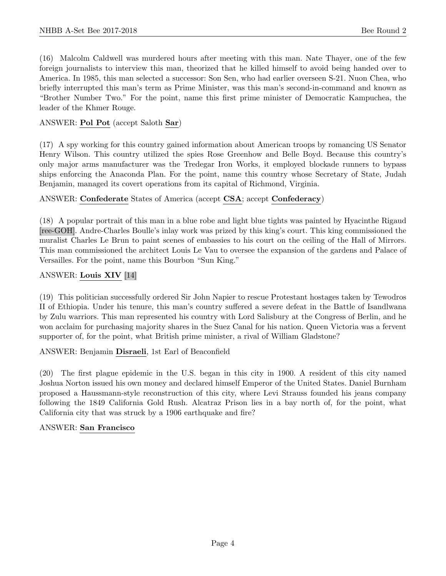(16) Malcolm Caldwell was murdered hours after meeting with this man. Nate Thayer, one of the few foreign journalists to interview this man, theorized that he killed himself to avoid being handed over to America. In 1985, this man selected a successor: Son Sen, who had earlier overseen S-21. Nuon Chea, who briefly interrupted this man's term as Prime Minister, was this man's second-in-command and known as "Brother Number Two." For the point, name this first prime minister of Democratic Kampuchea, the leader of the Khmer Rouge.

# ANSWER: Pol Pot (accept Saloth Sar)

(17) A spy working for this country gained information about American troops by romancing US Senator Henry Wilson. This country utilized the spies Rose Greenhow and Belle Boyd. Because this country's only major arms manufacturer was the Tredegar Iron Works, it employed blockade runners to bypass ships enforcing the Anaconda Plan. For the point, name this country whose Secretary of State, Judah Benjamin, managed its covert operations from its capital of Richmond, Virginia.

# ANSWER: Confederate States of America (accept CSA; accept Confederacy)

(18) A popular portrait of this man in a blue robe and light blue tights was painted by Hyacinthe Rigaud [ree-GOH]. Andre-Charles Boulle's inlay work was prized by this king's court. This king commissioned the muralist Charles Le Brun to paint scenes of embassies to his court on the ceiling of the Hall of Mirrors. This man commissioned the architect Louis Le Vau to oversee the expansion of the gardens and Palace of Versailles. For the point, name this Bourbon "Sun King."

#### ANSWER: Louis XIV [14]

(19) This politician successfully ordered Sir John Napier to rescue Protestant hostages taken by Tewodros II of Ethiopia. Under his tenure, this man's country suffered a severe defeat in the Battle of Isandlwana by Zulu warriors. This man represented his country with Lord Salisbury at the Congress of Berlin, and he won acclaim for purchasing majority shares in the Suez Canal for his nation. Queen Victoria was a fervent supporter of, for the point, what British prime minister, a rival of William Gladstone?

#### ANSWER: Benjamin Disraeli, 1st Earl of Beaconfield

(20) The first plague epidemic in the U.S. began in this city in 1900. A resident of this city named Joshua Norton issued his own money and declared himself Emperor of the United States. Daniel Burnham proposed a Haussmann-style reconstruction of this city, where Levi Strauss founded his jeans company following the 1849 California Gold Rush. Alcatraz Prison lies in a bay north of, for the point, what California city that was struck by a 1906 earthquake and fire?

# ANSWER: San Francisco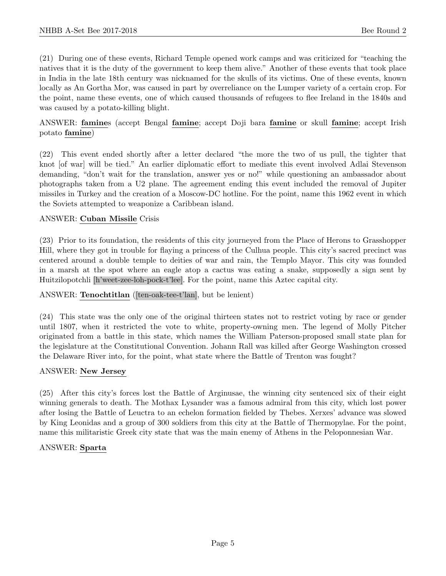(21) During one of these events, Richard Temple opened work camps and was criticized for "teaching the natives that it is the duty of the government to keep them alive." Another of these events that took place in India in the late 18th century was nicknamed for the skulls of its victims. One of these events, known locally as An Gortha Mor, was caused in part by overreliance on the Lumper variety of a certain crop. For the point, name these events, one of which caused thousands of refugees to flee Ireland in the 1840s and was caused by a potato-killing blight.

# ANSWER: famines (accept Bengal famine; accept Doji bara famine or skull famine; accept Irish potato famine)

(22) This event ended shortly after a letter declared "the more the two of us pull, the tighter that knot [of war] will be tied." An earlier diplomatic effort to mediate this event involved Adlai Stevenson demanding, "don't wait for the translation, answer yes or no!" while questioning an ambassador about photographs taken from a U2 plane. The agreement ending this event included the removal of Jupiter missiles in Turkey and the creation of a Moscow-DC hotline. For the point, name this 1962 event in which the Soviets attempted to weaponize a Caribbean island.

# ANSWER: Cuban Missile Crisis

(23) Prior to its foundation, the residents of this city journeyed from the Place of Herons to Grasshopper Hill, where they got in trouble for flaying a princess of the Culhua people. This city's sacred precinct was centered around a double temple to deities of war and rain, the Templo Mayor. This city was founded in a marsh at the spot where an eagle atop a cactus was eating a snake, supposedly a sign sent by Huitzilopotchli [h'weet-zee-loh-pock-t'lee]. For the point, name this Aztec capital city.

# ANSWER: Tenochtitlan ([ten-oak-tee-t'lan], but be lenient)

(24) This state was the only one of the original thirteen states not to restrict voting by race or gender until 1807, when it restricted the vote to white, property-owning men. The legend of Molly Pitcher originated from a battle in this state, which names the William Paterson-proposed small state plan for the legislature at the Constitutional Convention. Johann Rall was killed after George Washington crossed the Delaware River into, for the point, what state where the Battle of Trenton was fought?

#### ANSWER: New Jersey

(25) After this city's forces lost the Battle of Arginusae, the winning city sentenced six of their eight winning generals to death. The Mothax Lysander was a famous admiral from this city, which lost power after losing the Battle of Leuctra to an echelon formation fielded by Thebes. Xerxes' advance was slowed by King Leonidas and a group of 300 soldiers from this city at the Battle of Thermopylae. For the point, name this militaristic Greek city state that was the main enemy of Athens in the Peloponnesian War.

#### ANSWER: Sparta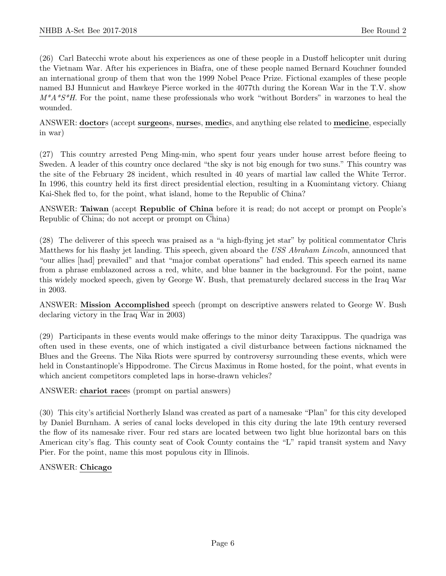(26) Carl Batecchi wrote about his experiences as one of these people in a Dustoff helicopter unit during the Vietnam War. After his experiences in Biafra, one of these people named Bernard Kouchner founded an international group of them that won the 1999 Nobel Peace Prize. Fictional examples of these people named BJ Hunnicut and Hawkeye Pierce worked in the 4077th during the Korean War in the T.V. show  $M^*A^*S^*H$ . For the point, name these professionals who work "without Borders" in warzones to heal the wounded.

ANSWER: doctors (accept surgeons, nurses, medics, and anything else related to medicine, especially in war)

(27) This country arrested Peng Ming-min, who spent four years under house arrest before fleeing to Sweden. A leader of this country once declared "the sky is not big enough for two suns." This country was the site of the February 28 incident, which resulted in 40 years of martial law called the White Terror. In 1996, this country held its first direct presidential election, resulting in a Kuomintang victory. Chiang Kai-Shek fled to, for the point, what island, home to the Republic of China?

ANSWER: Taiwan (accept Republic of China before it is read; do not accept or prompt on People's Republic of China; do not accept or prompt on China)

(28) The deliverer of this speech was praised as a "a high-flying jet star" by political commentator Chris Matthews for his flashy jet landing. This speech, given aboard the USS Abraham Lincoln, announced that "our allies [had] prevailed" and that "major combat operations" had ended. This speech earned its name from a phrase emblazoned across a red, white, and blue banner in the background. For the point, name this widely mocked speech, given by George W. Bush, that prematurely declared success in the Iraq War in 2003.

ANSWER: Mission Accomplished speech (prompt on descriptive answers related to George W. Bush declaring victory in the Iraq War in 2003)

(29) Participants in these events would make offerings to the minor deity Taraxippus. The quadriga was often used in these events, one of which instigated a civil disturbance between factions nicknamed the Blues and the Greens. The Nika Riots were spurred by controversy surrounding these events, which were held in Constantinople's Hippodrome. The Circus Maximus in Rome hosted, for the point, what events in which ancient competitors completed laps in horse-drawn vehicles?

ANSWER: chariot races (prompt on partial answers)

(30) This city's artificial Northerly Island was created as part of a namesake "Plan" for this city developed by Daniel Burnham. A series of canal locks developed in this city during the late 19th century reversed the flow of its namesake river. Four red stars are located between two light blue horizontal bars on this American city's flag. This county seat of Cook County contains the "L" rapid transit system and Navy Pier. For the point, name this most populous city in Illinois.

# ANSWER: Chicago